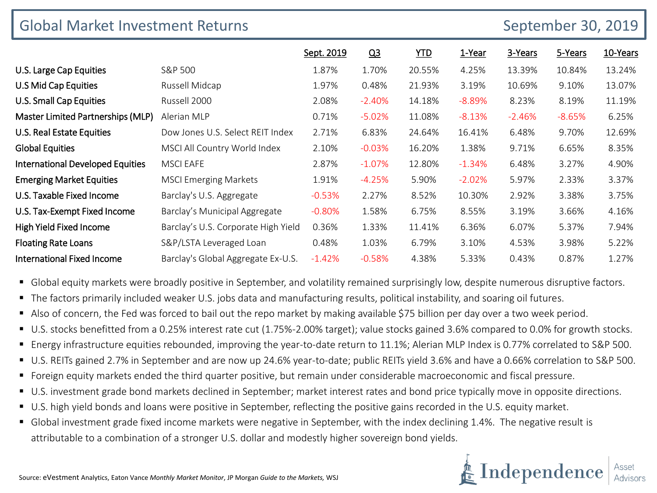| <b>Global Market Investment Returns</b> |                                     |            |                |            |           | September 30, 2019 |          |          |
|-----------------------------------------|-------------------------------------|------------|----------------|------------|-----------|--------------------|----------|----------|
|                                         |                                     | Sept. 2019 | Q <sub>3</sub> | <u>YTD</u> | 1-Year    | 3-Years            | 5-Years  | 10-Years |
| U.S. Large Cap Equities                 | S&P 500                             | 1.87%      | 1.70%          | 20.55%     | 4.25%     | 13.39%             | 10.84%   | 13.24%   |
| U.S Mid Cap Equities                    | Russell Midcap                      | 1.97%      | 0.48%          | 21.93%     | 3.19%     | 10.69%             | 9.10%    | 13.07%   |
| U.S. Small Cap Equities                 | Russell 2000                        | 2.08%      | $-2.40%$       | 14.18%     | $-8.89\%$ | 8.23%              | 8.19%    | 11.19%   |
| Master Limited Partnerships (MLP)       | Alerian MLP                         | 0.71%      | $-5.02%$       | 11.08%     | $-8.13%$  | $-2.46%$           | $-8.65%$ | 6.25%    |
| U.S. Real Estate Equities               | Dow Jones U.S. Select REIT Index    | 2.71%      | 6.83%          | 24.64%     | 16.41%    | 6.48%              | 9.70%    | 12.69%   |
| <b>Global Equities</b>                  | MSCI All Country World Index        | 2.10%      | $-0.03%$       | 16.20%     | 1.38%     | 9.71%              | 6.65%    | 8.35%    |
| <b>International Developed Equities</b> | <b>MSCI EAFE</b>                    | 2.87%      | $-1.07%$       | 12.80%     | $-1.34\%$ | 6.48%              | 3.27%    | 4.90%    |
| <b>Emerging Market Equities</b>         | <b>MSCI Emerging Markets</b>        | 1.91%      | $-4.25%$       | 5.90%      | $-2.02%$  | 5.97%              | 2.33%    | 3.37%    |
| U.S. Taxable Fixed Income               | Barclay's U.S. Aggregate            | $-0.53%$   | 2.27%          | 8.52%      | 10.30%    | 2.92%              | 3.38%    | 3.75%    |
| U.S. Tax-Exempt Fixed Income            | Barclay's Municipal Aggregate       | $-0.80%$   | 1.58%          | 6.75%      | 8.55%     | 3.19%              | 3.66%    | 4.16%    |
| High Yield Fixed Income                 | Barclay's U.S. Corporate High Yield | 0.36%      | 1.33%          | 11.41%     | 6.36%     | 6.07%              | 5.37%    | 7.94%    |
| <b>Floating Rate Loans</b>              | S&P/LSTA Leveraged Loan             | 0.48%      | 1.03%          | 6.79%      | 3.10%     | 4.53%              | 3.98%    | 5.22%    |
| <b>International Fixed Income</b>       | Barclay's Global Aggregate Ex-U.S.  | $-1.42%$   | $-0.58%$       | 4.38%      | 5.33%     | 0.43%              | 0.87%    | 1.27%    |

**G** Global equity markets were broadly positive in September, and volatility remained surprisingly low, despite numerous disruptive factors.

- The factors primarily included weaker U.S. jobs data and manufacturing results, political instability, and soaring oil futures.
- Also of concern, the Fed was forced to bail out the repo market by making available \$75 billion per day over a two week period.
- U.S. stocks benefitted from a 0.25% interest rate cut (1.75%-2.00% target); value stocks gained 3.6% compared to 0.0% for growth stocks.
- Energy infrastructure equities rebounded, improving the year-to-date return to 11.1%; Alerian MLP Index is 0.77% correlated to S&P 500.
- U.S. REITs gained 2.7% in September and are now up 24.6% year-to-date; public REITs yield 3.6% and have a 0.66% correlation to S&P 500.
- Foreign equity markets ended the third quarter positive, but remain under considerable macroeconomic and fiscal pressure.
- U.S. investment grade bond markets declined in September; market interest rates and bond price typically move in opposite directions.
- U.S. high yield bonds and loans were positive in September, reflecting the positive gains recorded in the U.S. equity market.
- Global investment grade fixed income markets were negative in September, with the index declining 1.4%. The negative result is attributable to a combination of a stronger U.S. dollar and modestly higher sovereign bond yields.

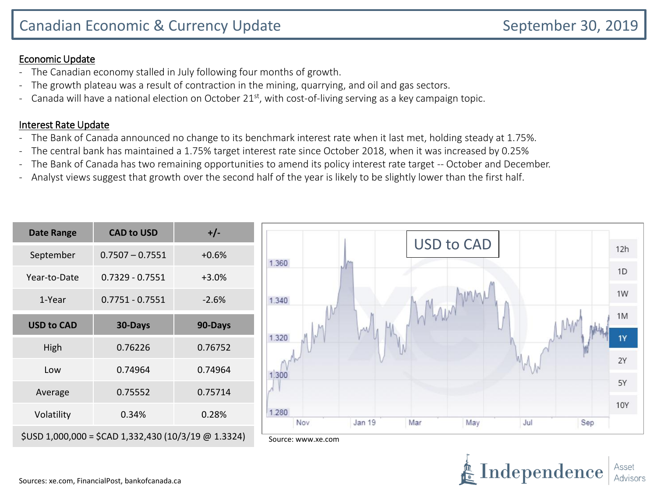## Economic Update

- The Canadian economy stalled in July following four months of growth.
- The growth plateau was a result of contraction in the mining, quarrying, and oil and gas sectors.
- Canada will have a national election on October 21<sup>st</sup>, with cost-of-living serving as a key campaign topic.

## Interest Rate Update

- The Bank of Canada announced no change to its benchmark interest rate when it last met, holding steady at 1.75%.
- The central bank has maintained a 1.75% target interest rate since October 2018, when it was increased by 0.25%
- The Bank of Canada has two remaining opportunities to amend its policy interest rate target -- October and December.
- Analyst views suggest that growth over the second half of the year is likely to be slightly lower than the first half.

| <b>Date Range</b>                                    | <b>CAD to USD</b> | $+/-$   |  |  |  |  |  |
|------------------------------------------------------|-------------------|---------|--|--|--|--|--|
| September                                            | $0.7507 - 0.7551$ | $+0.6%$ |  |  |  |  |  |
| Year-to-Date                                         | $0.7329 - 0.7551$ | $+3.0%$ |  |  |  |  |  |
| 1-Year                                               | $0.7751 - 0.7551$ | $-2.6%$ |  |  |  |  |  |
| <b>USD to CAD</b>                                    | 30-Days           | 90-Days |  |  |  |  |  |
| High                                                 | 0.76226           | 0.76752 |  |  |  |  |  |
| Low                                                  | 0.74964           | 0.74964 |  |  |  |  |  |
| Average                                              | 0.75552           | 0.75714 |  |  |  |  |  |
| Volatility                                           | 0.34%             | 0.28%   |  |  |  |  |  |
| \$USD 1,000,000 = \$CAD 1,332,430 (10/3/19 @ 1.3324) |                   |         |  |  |  |  |  |



Independence